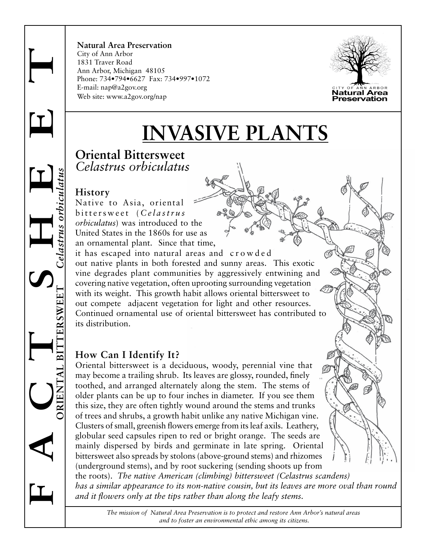**F** A CRENTAL BITTERSWEET Celastrus orbienlatus **ORIENTAL BITTERSWEET** *Celastrus orbiculatus*  $0$  strus

**Natural Area Preservation** City of Ann Arbor 1831 Traver Road Ann Arbor, Michigan 48105 Phone: 734•794•6627 Fax: 734•997•1072 E-mail: nap@a2gov.org Web site: www.a2gov.org/nap



# **INVASIVE PLANTS**

## **Oriental Bittersweet** *Celastrus orbiculatus*

## **History**

Native to Asia, oriental bittersweet ( *Celastrus orbiculatus*) was introduced to the United States in the 1860s for use as an ornamental plant. Since that time, it has escaped into natural areas and crowded out native plants in both forested and sunny areas. This exotic vine degrades plant communities by aggressively entwining and covering native vegetation, often uprooting surrounding vegetation with its weight. This growth habit allows oriental bittersweet to out compete adjacent vegetation for light and other resources. Continued ornamental use of oriental bittersweet has contributed to its distribution.

# **How Can I Identify It?**

Oriental bittersweet is a deciduous, woody, perennial vine that may become a trailing shrub. Its leaves are glossy, rounded, finely toothed, and arranged alternately along the stem. The stems of older plants can be up to four inches in diameter. If you see them this size, they are often tightly wound around the stems and trunks of trees and shrubs, a growth habit unlike any native Michigan vine. Clusters of small, greenish flowers emerge from its leaf axils. Leathery, globular seed capsules ripen to red or bright orange. The seeds are mainly dispersed by birds and germinate in late spring. Oriental bittersweet also spreads by stolons (above-ground stems) and rhizomes (underground stems), and by root suckering (sending shoots up from the roots). *The native American (climbing) bittersweet (Celastrus scandens) has a similar appearance to its non-native cousin, but its leaves are more oval than round* 

*and it flowers only at the tips rather than along the leafy stems.* 

*The mission of Natural Area Preservation is to protect and restore Ann Arbor's natural areas and to foster an environmental ethic among its citizens.*